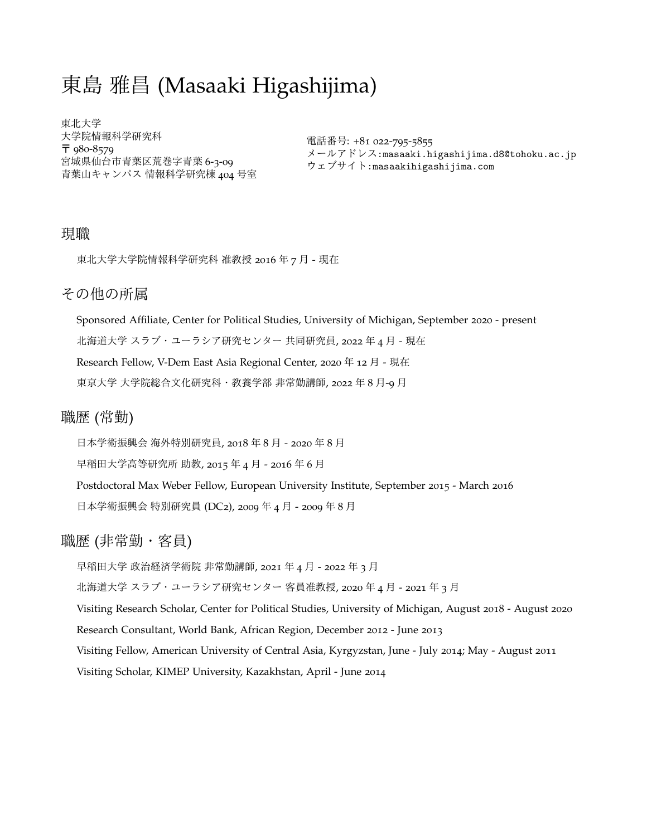# 東島 雅昌 (Masaaki Higashijima)

東北大学 大学院情報科学研究科 〒 980-8579 宮城県仙台市青葉区荒巻字青葉 6-3-09 青葉山キャンパス 情報科学研究棟 404 号室

電話番号: +81 022-795-5855 メールアドレス:masaaki.higashijima.d8@tohoku.ac.jp ウェブサイト:masaakihigashijima.com

## 現職

東北大学大学院情報科学研究科 准教授 2016 年 7 月 - 現在

# その他の所属

Sponsored Affiliate, Center for Political Studies, University of Michigan, September 2020 - present 北海道大学 スラブ・ユーラシア研究センター 共同研究員, 2022 年 4 月 - 現在 Research Fellow, V-Dem East Asia Regional Center, 2020 年 12 月 - 現在 東京大学 大学院総合文化研究科・教養学部 非常勤講師, 2022 年 8 月-9 月

# 職歴 (常勤)

日本学術振興会 海外特別研究員, 2018 年 8 月 - 2020 年 8 月

早稲田大学高等研究所 助教, 2015 年 4 月 - 2016 年 6 月

Postdoctoral Max Weber Fellow, European University Institute, September 2015 - March 2016 日本学術振興会 特別研究員 (DC2), 2009 年 4 月 - 2009 年 8 月

# 職歴 (非常勤・客員)

早稲田大学 政治経済学術院 非常勤講師, 2021 年 4 月 - 2022 年 3 月

北海道大学 スラブ・ユーラシア研究センター 客員准教授, 2020 年 4 月 - 2021 年 3 月

Visiting Research Scholar, Center for Political Studies, University of Michigan, August 2018 - August 2020

Research Consultant, World Bank, African Region, December 2012 - June 2013

Visiting Fellow, American University of Central Asia, Kyrgyzstan, June - July 2014; May - August 2011

Visiting Scholar, KIMEP University, Kazakhstan, April - June 2014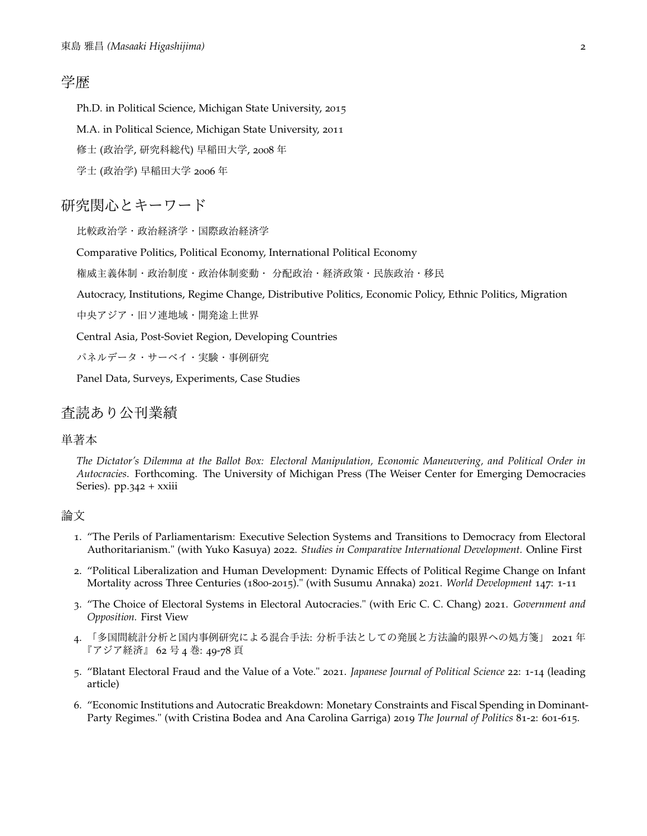# 学歴

Ph.D. in Political Science, Michigan State University, 2015

M.A. in Political Science, Michigan State University, 2011

修士 (政治学, 研究科総代) 早稲田大学, 2008 年

学士 (政治学) 早稲田大学 2006 年

# 研究関心とキーワード

比較政治学・政治経済学・国際政治経済学

Comparative Politics, Political Economy, International Political Economy

権威主義体制・政治制度・政治体制変動・ 分配政治・経済政策・民族政治・移民

Autocracy, Institutions, Regime Change, Distributive Politics, Economic Policy, Ethnic Politics, Migration

中央アジア・旧ソ連地域・開発途上世界

Central Asia, Post-Soviet Region, Developing Countries

パネルデータ・サーベイ・実験・事例研究

Panel Data, Surveys, Experiments, Case Studies

## 査読あり公刊業績

#### 単著本

*The Dictator's Dilemma at the Ballot Box: Electoral Manipulation, Economic Maneuvering, and Political Order in Autocracies*. Forthcoming. The University of Michigan Press (The Weiser Center for Emerging Democracies Series). pp.342 + xxiii

#### 論文

- 1. "The Perils of Parliamentarism: Executive Selection Systems and Transitions to Democracy from Electoral Authoritarianism." (with Yuko Kasuya) 2022. *Studies in Comparative International Development.* Online First
- 2. "Political Liberalization and Human Development: Dynamic Effects of Political Regime Change on Infant Mortality across Three Centuries (1800-2015)." (with Susumu Annaka) 2021. *World Development* 147: 1-11
- 3. "The Choice of Electoral Systems in Electoral Autocracies." (with Eric C. C. Chang) 2021. *Government and Opposition.* First View
- 「多国間統計分析と国内事例研究による混合手法: 分析手法としての発展と方法論的限界への処方箋」 2021 年 『アジア経済』 62 号 4 巻: 49-78 頁
- 5. "Blatant Electoral Fraud and the Value of a Vote." 2021. *Japanese Journal of Political Science* 22: 1-14 (leading article)
- 6. "Economic Institutions and Autocratic Breakdown: Monetary Constraints and Fiscal Spending in Dominant-Party Regimes." (with Cristina Bodea and Ana Carolina Garriga) 2019 *The Journal of Politics* 81-2: 601-615.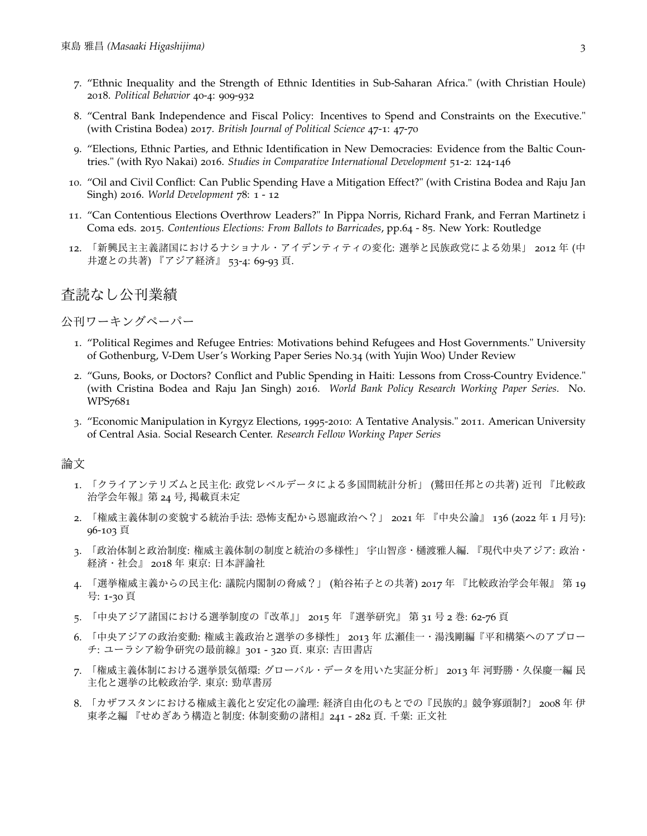- 7. "Ethnic Inequality and the Strength of Ethnic Identities in Sub-Saharan Africa." (with Christian Houle) 2018. *Political Behavior* 40-4: 909-932
- 8. "Central Bank Independence and Fiscal Policy: Incentives to Spend and Constraints on the Executive." (with Cristina Bodea) 2017. *British Journal of Political Science* 47-1: 47-70
- 9. "Elections, Ethnic Parties, and Ethnic Identification in New Democracies: Evidence from the Baltic Countries." (with Ryo Nakai) 2016. *Studies in Comparative International Development* 51-2: 124-146
- 10. "Oil and Civil Conflict: Can Public Spending Have a Mitigation Effect?" (with Cristina Bodea and Raju Jan Singh) 2016. *World Development* 78: 1 - 12
- 11. "Can Contentious Elections Overthrow Leaders?" In Pippa Norris, Richard Frank, and Ferran Martinetz i Coma eds. 2015. *Contentious Elections: From Ballots to Barricades*, pp.64 - 85. New York: Routledge
- 12. 「新興民主主義諸国におけるナショナル・アイデンティティの変化: 選挙と民族政党による効果」 2012 年 (中 井遼との共著) 『アジア経済』 53-4: 69-93 頁.

## 査読なし公刊業績

### 公刊ワーキングペーパー

- 1. "Political Regimes and Refugee Entries: Motivations behind Refugees and Host Governments." University of Gothenburg, V-Dem User's Working Paper Series No.34 (with Yujin Woo) Under Review
- 2. "Guns, Books, or Doctors? Conflict and Public Spending in Haiti: Lessons from Cross-Country Evidence." (with Cristina Bodea and Raju Jan Singh) 2016. *World Bank Policy Research Working Paper Series*. No. WPS7681
- 3. "Economic Manipulation in Kyrgyz Elections, 1995-2010: A Tentative Analysis." 2011. American University of Central Asia. Social Research Center. *Research Fellow Working Paper Series*

#### 論文

- 1. 「クライアンテリズムと民主化: 政党レベルデータによる多国間統計分析」 (鷲田任邦との共著) 近刊 『比較政 治学会年報』第 24 号, 掲載頁未定
- 2. 「権威主義体制の変貌する統治手法: 恐怖支配から恩寵政治へ?」 2021 年 『中央公論』 136 (2022 年 1 月号): 96-103 頁
- 3. 「政治体制と政治制度: 権威主義体制の制度と統治の多様性」 宇山智彦・樋渡雅人編. 『現代中央アジア: 政治・ 経済・社会』 2018 年 東京: 日本評論社
- 4. 「選挙権威主義からの民主化: 議院内閣制の脅威?」 (粕谷祐子との共著) 2017 年 『比較政治学会年報』 第 19 号: 1-30 頁
- 5. 「中央アジア諸国における選挙制度の『改革』」 2015 年 『選挙研究』 第 31 号 2 巻: 62-76 頁
- 「中央アジアの政治変動: 権威主義政治と選挙の多様性」 2013 年 広瀬佳一・湯浅剛編『平和構築へのアプロー チ: ユーラシア紛争研究の最前線』301 - 320 頁. 東京: 吉田書店
- 7. 「権威主義体制における選挙景気循環: グローバル・データを用いた実証分析」 2013 年 河野勝・久保慶一編 民 主化と選挙の比較政治学. 東京: 勁草書房
- 8. 「カザフスタンにおける権威主義化と安定化の論理: 経済自由化のもとでの『民族的』競争寡頭制?」 2008 年 伊 東孝之編 『せめぎあう構造と制度: 体制変動の諸相』241 - 282 頁. 千葉: 正文社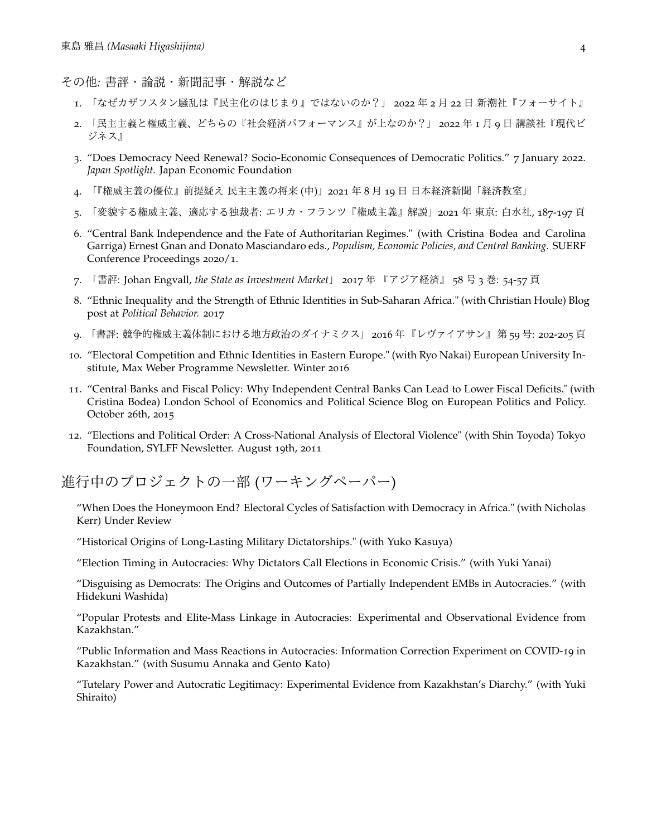その他*:* 書評・論説・新聞記事・解説など

- 1. 「なぜカザフスタン騒乱は『民主化のはじまり』ではないのか?」 2022 年 2 月 22 日 新潮社『フォーサイト』
- 2. 「民主主義と権威主義、どちらの『社会経済パフォーマンス』が上なのか?」 2022 年 1 月 9 日 講談社『現代ビ ジネス』
- 3. "Does Democracy Need Renewal? Socio-Economic Consequences of Democratic Politics." 7 January 2022. *Japan Spotlight.* Japan Economic Foundation
- 4. 「『権威主義の優位』前提疑え 民主主義の将来 (中)」2021 年 8 月 19 日 日本経済新聞「経済教室」
- 5. 「変貌する権威主義、適応する独裁者: エリカ・フランツ『権威主義』解説」2021 年 東京: 白水社, 187-197 頁
- 6. "Central Bank Independence and the Fate of Authoritarian Regimes." (with Cristina Bodea and Carolina Garriga) Ernest Gnan and Donato Masciandaro eds., *Populism, Economic Policies, and Central Banking.* SUERF Conference Proceedings 2020/1.
- 7. 「書評: Johan Engvall, *the State as Investment Market*」 2017 年 『アジア経済』 58 号 3 巻: 54-57 頁
- 8. "Ethnic Inequality and the Strength of Ethnic Identities in Sub-Saharan Africa." (with Christian Houle) Blog post at *Political Behavior.* 2017
- 9. 「書評: 競争的権威主義体制における地方政治のダイナミクス」 2016 年 『レヴァイアサン』 第 59 号: 202-205 頁
- 10. "Electoral Competition and Ethnic Identities in Eastern Europe." (with Ryo Nakai) European University Institute, Max Weber Programme Newsletter. Winter 2016
- 11. "Central Banks and Fiscal Policy: Why Independent Central Banks Can Lead to Lower Fiscal Deficits." (with Cristina Bodea) London School of Economics and Political Science Blog on European Politics and Policy. October 26th, 2015
- 12. "Elections and Political Order: A Cross-National Analysis of Electoral Violence" (with Shin Toyoda) Tokyo Foundation, SYLFF Newsletter. August 19th, 2011

進行中のプロジェクトの一部 (ワーキングペーパー)

"When Does the Honeymoon End? Electoral Cycles of Satisfaction with Democracy in Africa." (with Nicholas Kerr) Under Review

"Historical Origins of Long-Lasting Military Dictatorships." (with Yuko Kasuya)

"Election Timing in Autocracies: Why Dictators Call Elections in Economic Crisis." (with Yuki Yanai)

"Disguising as Democrats: The Origins and Outcomes of Partially Independent EMBs in Autocracies." (with Hidekuni Washida)

"Popular Protests and Elite-Mass Linkage in Autocracies: Experimental and Observational Evidence from Kazakhstan."

"Public Information and Mass Reactions in Autocracies: Information Correction Experiment on COVID-19 in Kazakhstan." (with Susumu Annaka and Gento Kato)

"Tutelary Power and Autocratic Legitimacy: Experimental Evidence from Kazakhstan's Diarchy." (with Yuki Shiraito)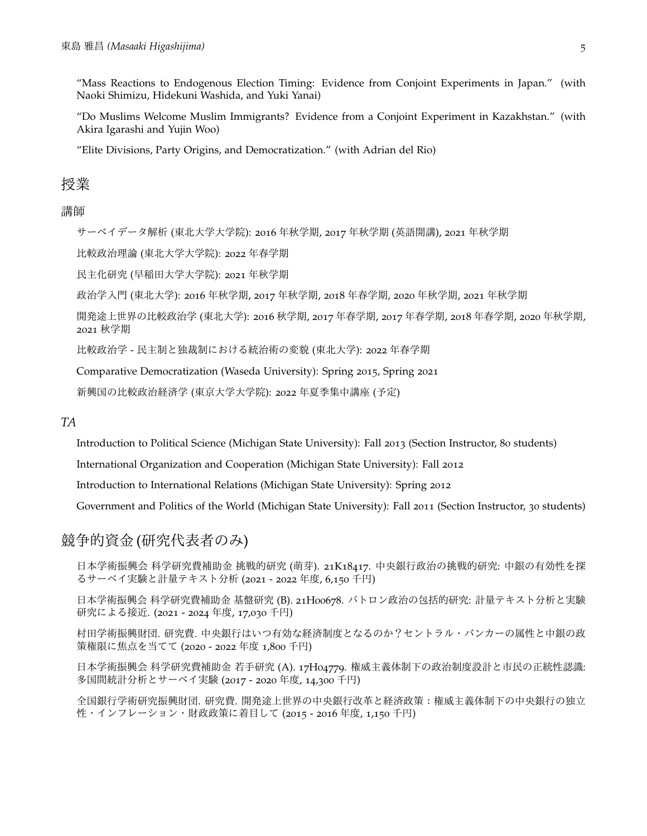"Mass Reactions to Endogenous Election Timing: Evidence from Conjoint Experiments in Japan." (with Naoki Shimizu, Hidekuni Washida, and Yuki Yanai)

"Do Muslims Welcome Muslim Immigrants? Evidence from a Conjoint Experiment in Kazakhstan." (with Akira Igarashi and Yujin Woo)

"Elite Divisions, Party Origins, and Democratization." (with Adrian del Rio)

## 授業

### 講師

サーベイデータ解析 (東北大学大学院): 2016 年秋学期, 2017 年秋学期 (英語開講), 2021 年秋学期

比較政治理論 (東北大学大学院): 2022 年春学期

民主化研究 (早稲田大学大学院): 2021 年秋学期

政治学入門 (東北大学): 2016 年秋学期, 2017 年秋学期, 2018 年春学期, 2020 年秋学期, 2021 年秋学期

開発途上世界の比較政治学 (東北大学): 2016 秋学期, 2017 年春学期, 2017 年春学期, 2018 年春学期, 2020 年秋学期, 2021 秋学期

比較政治学 - 民主制と独裁制における統治術の変貌 (東北大学): 2022 年春学期

Comparative Democratization (Waseda University): Spring 2015, Spring 2021

新興国の比較政治経済学 (東京大学大学院): 2022 年夏季集中講座 (予定)

#### *TA*

Introduction to Political Science (Michigan State University): Fall 2013 (Section Instructor, 80 students)

International Organization and Cooperation (Michigan State University): Fall 2012

Introduction to International Relations (Michigan State University): Spring 2012

Government and Politics of the World (Michigan State University): Fall 2011 (Section Instructor, 30 students)

# 競争的資金 (研究代表者のみ)

日本学術振興会 科学研究費補助金 挑戦的研究 (萌芽). 21K18417. 中央銀行政治の挑戦的研究: 中銀の有効性を探 るサーベイ実験と計量テキスト分析 (2021 - 2022 年度, 6,150 千円)

日本学術振興会 科学研究費補助金 基盤研究 (B). 21H00678. パトロン政治の包括的研究: 計量テキスト分析と実験 研究による接近. (2021 - 2024 年度, 17,030 千円)

村田学術振興財団. 研究費. 中央銀行はいつ有効な経済制度となるのか?セントラル・バンカーの属性と中銀の政 策権限に焦点を当てて (2020 - 2022 年度 1,800 千円)

日本学術振興会 科学研究費補助金 若手研究 (A). 17H04779. 権威主義体制下の政治制度設計と市民の正統性認識: 多国間統計分析とサーベイ実験 (2017 - 2020 年度, 14,300 千円)

全国銀行学術研究振興財団. 研究費. 開発途上世界の中央銀行改革と経済政策:権威主義体制下の中央銀行の独立 性・インフレーション・財政政策に着目して (2015 - 2016 年度, 1,150 千円)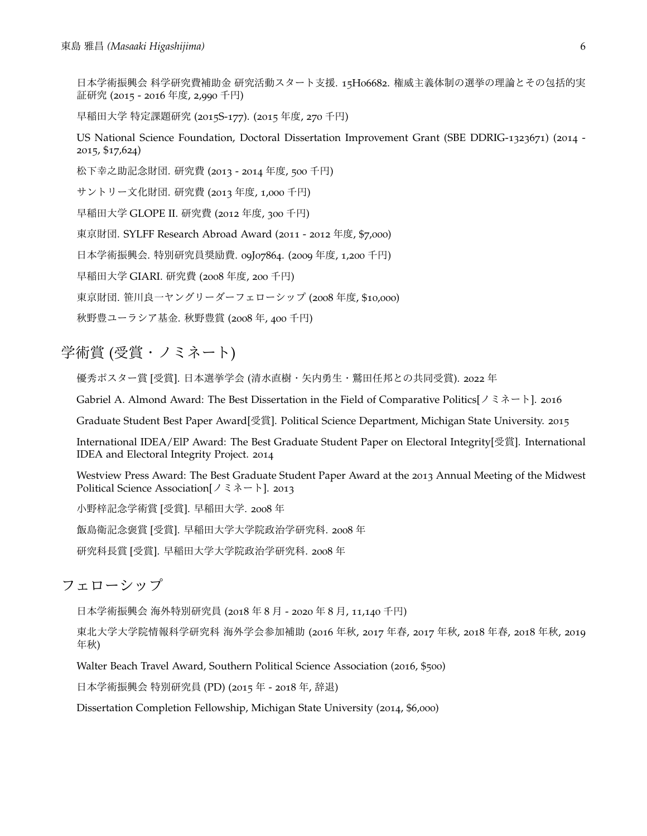日本学術振興会 科学研究費補助金 研究活動スタート支援. 15H06682. 権威主義体制の選挙の理論とその包括的実 証研究 (2015 - 2016 年度, 2,990 千円)

早稲田大学 特定課題研究 (2015S-177). (2015 年度, 270 千円)

US National Science Foundation, Doctoral Dissertation Improvement Grant (SBE DDRIG-1323671) (2014 - 2015, \$17,624)

松下幸之助記念財団. 研究費 (2013 - 2014 年度, 500 千円)

サントリー文化財団. 研究費 (2013 年度, 1,000 千円)

早稲田大学 GLOPE II. 研究費 (2012 年度, 300 千円)

東京財団. SYLFF Research Abroad Award (2011 - 2012 年度, \$7,000)

日本学術振興会. 特別研究員奨励費. 09J07864. (2009 年度, 1,200 千円)

早稲田大学 GIARI. 研究費 (2008 年度, 200 千円)

東京財団. 笹川良一ヤングリーダーフェローシップ (2008 年度, \$10,000)

秋野豊ユーラシア基金. 秋野豊賞 (2008 年, 400 千円)

# 学術賞 (受賞・ノミネート)

優秀ポスター賞 [受賞]. 日本選挙学会 (清水直樹・矢内勇生・鷲田任邦との共同受賞). 2022 年

Gabriel A. Almond Award: The Best Dissertation in the Field of Comparative Politics[ノミネート]. 2016

Graduate Student Best Paper Award[受賞]. Political Science Department, Michigan State University. 2015

International IDEA/ElP Award: The Best Graduate Student Paper on Electoral Integrity[受賞]. International IDEA and Electoral Integrity Project. 2014

Westview Press Award: The Best Graduate Student Paper Award at the 2013 Annual Meeting of the Midwest Political Science Association[ノミネート]. 2013

小野梓記念学術賞 [受賞]. 早稲田大学. 2008 年

飯島衛記念褒賞 [受賞]. 早稲田大学大学院政治学研究科. 2008 年

研究科長賞 [受賞]. 早稲田大学大学院政治学研究科. 2008 年

フェローシップ

日本学術振興会 海外特別研究員 (2018 年 8 月 - 2020 年 8 月, 11,140 千円)

東北大学大学院情報科学研究科 海外学会参加補助 (2016 年秋, 2017 年春, 2017 年秋, 2018 年春, 2018 年秋, 2019 年秋)

Walter Beach Travel Award, Southern Political Science Association (2016, \$500)

日本学術振興会 特別研究員 (PD) (2015 年 - 2018 年, 辞退)

Dissertation Completion Fellowship, Michigan State University (2014, \$6,000)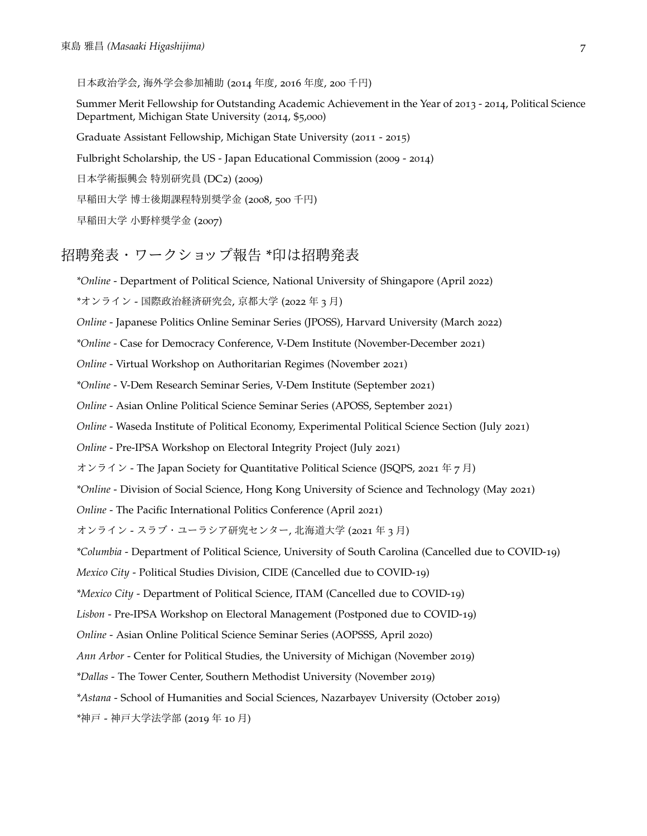日本政治学会, 海外学会参加補助 (2014 年度, 2016 年度, 200 千円)

Summer Merit Fellowship for Outstanding Academic Achievement in the Year of 2013 - 2014, Political Science Department, Michigan State University (2014, \$5,000)

Graduate Assistant Fellowship, Michigan State University (2011 - 2015)

Fulbright Scholarship, the US - Japan Educational Commission (2009 - 2014)

日本学術振興会 特別研究員 (DC2) (2009)

早稲田大学 博士後期課程特別奨学金 (2008, 500 千円)

早稲田大学 小野梓奨学金 (2007)

# 招聘発表・ワークショップ報告 \*印は招聘発表

*\*Online* - Department of Political Science, National University of Shingapore (April 2022)

*\**オンライン - 国際政治経済研究会, 京都大学 (2022 年 3 月)

*Online* - Japanese Politics Online Seminar Series (JPOSS), Harvard University (March 2022)

*\*Online* - Case for Democracy Conference, V-Dem Institute (November-December 2021)

*Online* - Virtual Workshop on Authoritarian Regimes (November 2021)

*\*Online* - V-Dem Research Seminar Series, V-Dem Institute (September 2021)

*Online* - Asian Online Political Science Seminar Series (APOSS, September 2021)

*Online* - Waseda Institute of Political Economy, Experimental Political Science Section (July 2021)

*Online* - Pre-IPSA Workshop on Electoral Integrity Project (July 2021)

オンライン - The Japan Society for Quantitative Political Science (JSQPS, 2021 年 7 月)

*\*Online* - Division of Social Science, Hong Kong University of Science and Technology (May 2021)

*Online* - The Pacific International Politics Conference (April 2021)

オンライン - スラブ・ユーラシア研究センター, 北海道大学 (2021 年 3 月)

*\*Columbia* - Department of Political Science, University of South Carolina (Cancelled due to COVID-19)

*Mexico City* - Political Studies Division, CIDE (Cancelled due to COVID-19)

*\*Mexico City* - Department of Political Science, ITAM (Cancelled due to COVID-19)

*Lisbon* - Pre-IPSA Workshop on Electoral Management (Postponed due to COVID-19)

*Online* - Asian Online Political Science Seminar Series (AOPSSS, April 2020)

*Ann Arbor* - Center for Political Studies, the University of Michigan (November 2019)

*\*Dallas* - The Tower Center, Southern Methodist University (November 2019)

*\*Astana* - School of Humanities and Social Sciences, Nazarbayev University (October 2019)

*\**神戸 - 神戸大学法学部 (2019 年 10 月)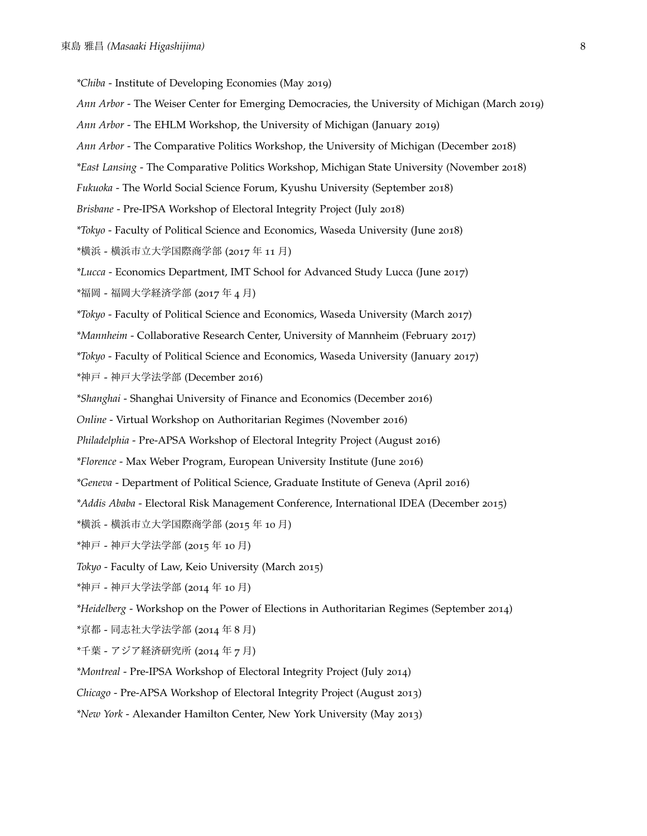*\*Chiba* - Institute of Developing Economies (May 2019) *Ann Arbor* - The Weiser Center for Emerging Democracies, the University of Michigan (March 2019) *Ann Arbor* - The EHLM Workshop, the University of Michigan (January 2019) *Ann Arbor* - The Comparative Politics Workshop, the University of Michigan (December 2018) *\*East Lansing* - The Comparative Politics Workshop, Michigan State University (November 2018) *Fukuoka* - The World Social Science Forum, Kyushu University (September 2018) *Brisbane* - Pre-IPSA Workshop of Electoral Integrity Project (July 2018) *\*Tokyo* - Faculty of Political Science and Economics, Waseda University (June 2018) *\**横浜 - 横浜市立大学国際商学部 (2017 年 11 月) *\*Lucca* - Economics Department, IMT School for Advanced Study Lucca (June 2017) *\**福岡 - 福岡大学経済学部 (2017 年 4 月) *\*Tokyo* - Faculty of Political Science and Economics, Waseda University (March 2017)

*\*Mannheim* - Collaborative Research Center, University of Mannheim (February 2017)

*\*Tokyo* - Faculty of Political Science and Economics, Waseda University (January 2017)

*\**神戸 - 神戸大学法学部 (December 2016)

*\*Shanghai* - Shanghai University of Finance and Economics (December 2016)

- *Online* Virtual Workshop on Authoritarian Regimes (November 2016)
- *Philadelphia* Pre-APSA Workshop of Electoral Integrity Project (August 2016)
- *\*Florence* Max Weber Program, European University Institute (June 2016)
- *\*Geneva* Department of Political Science, Graduate Institute of Geneva (April 2016)
- *\*Addis Ababa* Electoral Risk Management Conference, International IDEA (December 2015)
- *\**横浜 横浜市立大学国際商学部 (2015 年 10 月)
- *\**神戸 神戸大学法学部 (2015 年 10 月)
- *Tokyo* Faculty of Law, Keio University (March 2015)
- *\**神戸 神戸大学法学部 (2014 年 10 月)

*\*Heidelberg* - Workshop on the Power of Elections in Authoritarian Regimes (September 2014)

- *\**京都 同志社大学法学部 (2014 年 8 月)
- *\**千葉 アジア経済研究所 (2014 年 7 月)
- *\*Montreal* Pre-IPSA Workshop of Electoral Integrity Project (July 2014)
- *Chicago* Pre-APSA Workshop of Electoral Integrity Project (August 2013)
- *\*New York* Alexander Hamilton Center, New York University (May 2013)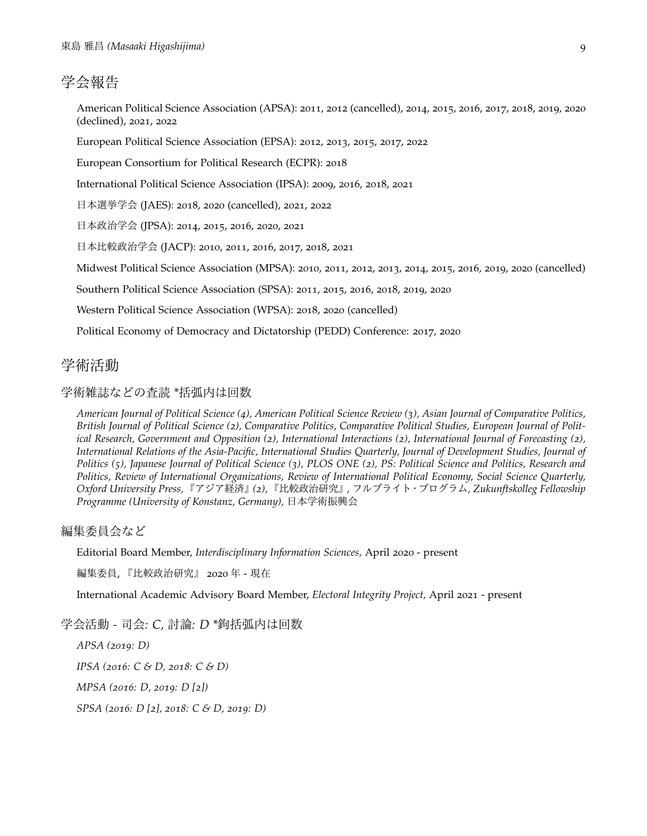# 学会報告

American Political Science Association (APSA): 2011, 2012 (cancelled), 2014, 2015, 2016, 2017, 2018, 2019, 2020 (declined), 2021, 2022

European Political Science Association (EPSA): 2012, 2013, 2015, 2017, 2022

European Consortium for Political Research (ECPR): 2018

International Political Science Association (IPSA): 2009, 2016, 2018, 2021

日本選挙学会 (JAES): 2018, 2020 (cancelled), 2021, 2022

日本政治学会 (JPSA): 2014, 2015, 2016, 2020, 2021

日本比較政治学会 (JACP): 2010, 2011, 2016, 2017, 2018, 2021

Midwest Political Science Association (MPSA): 2010, 2011, 2012, 2013, 2014, 2015, 2016, 2019, 2020 (cancelled)

Southern Political Science Association (SPSA): 2011, 2015, 2016, 2018, 2019, 2020

Western Political Science Association (WPSA): 2018, 2020 (cancelled)

Political Economy of Democracy and Dictatorship (PEDD) Conference: 2017, 2020

## 学術活動

#### 学術雑誌などの査読 *\**括弧内は回数

*American Journal of Political Science (4), American Political Science Review (3), Asian Journal of Comparative Politics, British Journal of Political Science (2), Comparative Politics, Comparative Political Studies, European Journal of Political Research, Government and Opposition (2), International Interactions (2), International Journal of Forecasting (2), International Relations of the Asia-Pacific, International Studies Quarterly, Journal of Development Studies, Journal of Politics (5), Japanese Journal of Political Science (3), PLOS ONE (2), PS: Political Science and Politics, Research and Politics, Review of International Organizations, Review of International Political Economy, Social Science Quarterly, Oxford University Press,*『アジア経済』*(2),*『比較政治研究』*,* フルブライト・プログラム*, Zukunftskolleg Fellowship Programme (University of Konstanz, Germany),* 日本学術振興会

編集委員会など

Editorial Board Member, *Interdisciplinary Information Sciences,* April 2020 - present

編集委員, 『比較政治研究』 2020 年 - 現在

International Academic Advisory Board Member, *Electoral Integrity Project,* April 2021 - present

学会活動 *-* 司会*: C,* 討論*: D \**鉤括弧内は回数

*APSA (2019: D)*

*IPSA (2016: C & D, 2018: C & D)*

*MPSA (2016: D, 2019: D [2])*

*SPSA (2016: D [2], 2018: C & D, 2019: D)*